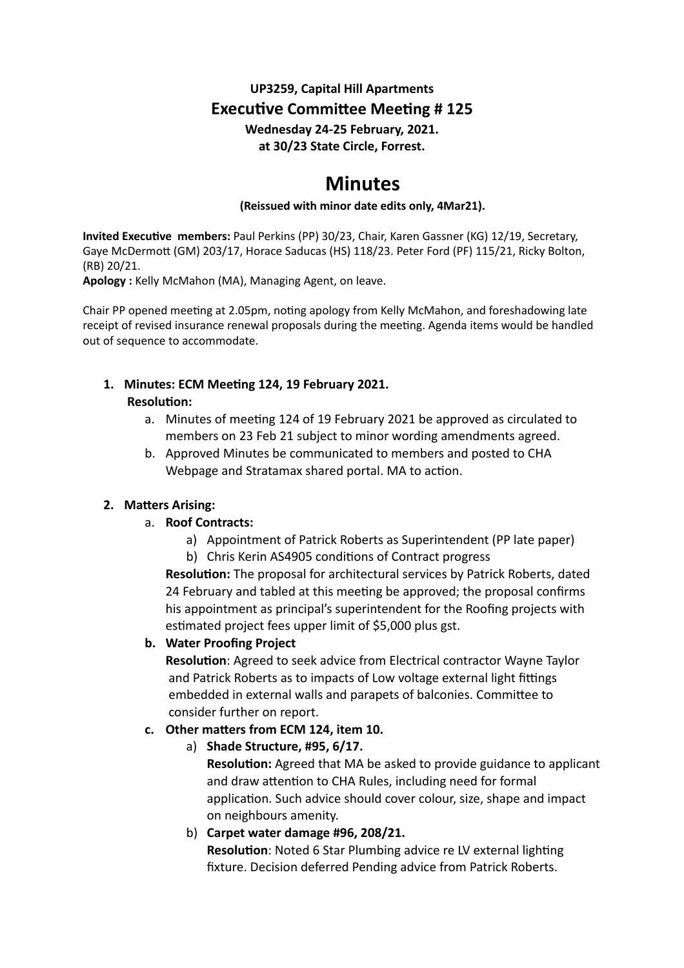### **UP3259, Capital Hill Apartments Executive Committee Meeting # 125 Wednesday 24-25 February, 2021. at 30/23 State Circle, Forrest.**

# **Minutes**

#### **(Reissued with minor date edits only, 4Mar21).**

**Invited Executive members: Paul Perkins (PP) 30/23, Chair, Karen Gassner (KG) 12/19, Secretary,** Gaye McDermott (GM) 203/17, Horace Saducas (HS) 118/23. Peter Ford (PF) 115/21, Ricky Bolton, (RB) 20/21.

**Apology :** Kelly McMahon (MA), Managing Agent, on leave.

Chair PP opened meeting at 2.05pm, noting apology from Kelly McMahon, and foreshadowing late receipt of revised insurance renewal proposals during the meeting. Agenda items would be handled out of sequence to accommodate.

## 1. Minutes: ECM Meeting 124, 19 February 2021.

#### **Resolution:**

- a. Minutes of meeting 124 of 19 February 2021 be approved as circulated to members on 23 Feb 21 subject to minor wording amendments agreed.
- b. Approved Minutes be communicated to members and posted to CHA Webpage and Stratamax shared portal. MA to action.

#### **2.** Matters Arising:

- a. **Roof Contracts:**
	- a) Appointment of Patrick Roberts as Superintendent (PP late paper)
	- b) Chris Kerin AS4905 conditions of Contract progress

**Resolution:** The proposal for architectural services by Patrick Roberts, dated 24 February and tabled at this meeting be approved; the proposal confirms his appointment as principal's superintendent for the Roofing projects with estimated project fees upper limit of \$5,000 plus gst.

#### **b. Water Proofing Project**

**Resolution**: Agreed to seek advice from Electrical contractor Wayne Taylor and Patrick Roberts as to impacts of Low voltage external light fittings embedded in external walls and parapets of balconies. Committee to consider further on report.

#### **c.** Other matters from ECM 124, item 10.

a) **Shade Structure, #95, 6/17.**

**Resolution:** Agreed that MA be asked to provide guidance to applicant and draw attention to CHA Rules, including need for formal application. Such advice should cover colour, size, shape and impact on neighbours amenity.

b) **Carpet water damage #96, 208/21. Resolution:** Noted 6 Star Plumbing advice re LV external lighting fixture. Decision deferred Pending advice from Patrick Roberts.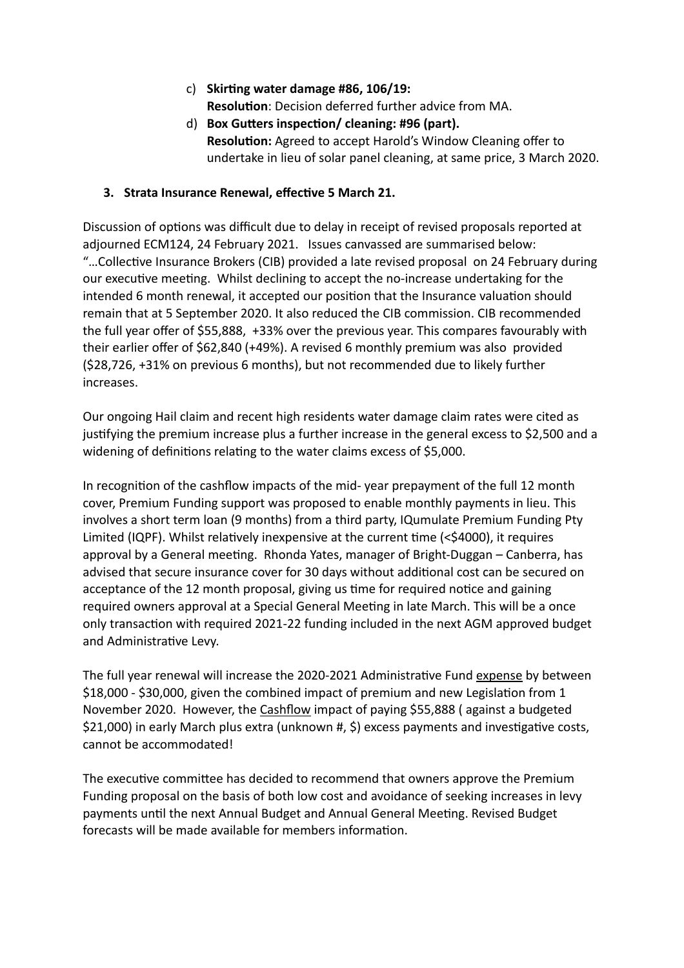- c) **Skir:ng water damage #86, 106/19: Resolution**: Decision deferred further advice from MA.
- d) Box Gutters inspection/ cleaning: #96 (part). **Resolution:** Agreed to accept Harold's Window Cleaning offer to undertake in lieu of solar panel cleaning, at same price, 3 March 2020.

#### **3. Strata Insurance Renewal, effective 5 March 21.**

Discussion of options was difficult due to delay in receipt of revised proposals reported at adjourned ECM124, 24 February 2021. Issues canvassed are summarised below: "...Collective Insurance Brokers (CIB) provided a late revised proposal on 24 February during our executive meeting. Whilst declining to accept the no-increase undertaking for the intended 6 month renewal, it accepted our position that the Insurance valuation should remain that at 5 September 2020. It also reduced the CIB commission. CIB recommended the full year offer of \$55,888, +33% over the previous year. This compares favourably with their earlier offer of \$62,840 (+49%). A revised 6 monthly premium was also provided (\$28,726, +31% on previous 6 months), but not recommended due to likely further increases.

Our ongoing Hail claim and recent high residents water damage claim rates were cited as justifying the premium increase plus a further increase in the general excess to \$2,500 and a widening of definitions relating to the water claims excess of  $$5,000$ .

In recognition of the cashflow impacts of the mid- year prepayment of the full 12 month cover, Premium Funding support was proposed to enable monthly payments in lieu. This involves a short term loan (9 months) from a third party, IQumulate Premium Funding Pty Limited (IQPF). Whilst relatively inexpensive at the current time ( $<$ \$4000), it requires approval by a General meeting. Rhonda Yates, manager of Bright-Duggan – Canberra, has advised that secure insurance cover for 30 days without additional cost can be secured on acceptance of the 12 month proposal, giving us time for required notice and gaining required owners approval at a Special General Meeting in late March. This will be a once only transaction with required 2021-22 funding included in the next AGM approved budget and Administrative Levy.

The full year renewal will increase the 2020-2021 Administrative Fund expense by between  $$18,000$  -  $$30,000$ , given the combined impact of premium and new Legislation from 1 November 2020. However, the Cashflow impact of paying \$55,888 ( against a budgeted \$21,000) in early March plus extra (unknown #, \$) excess payments and investigative costs, cannot be accommodated!

The executive committee has decided to recommend that owners approve the Premium Funding proposal on the basis of both low cost and avoidance of seeking increases in levy payments until the next Annual Budget and Annual General Meeting. Revised Budget forecasts will be made available for members information.